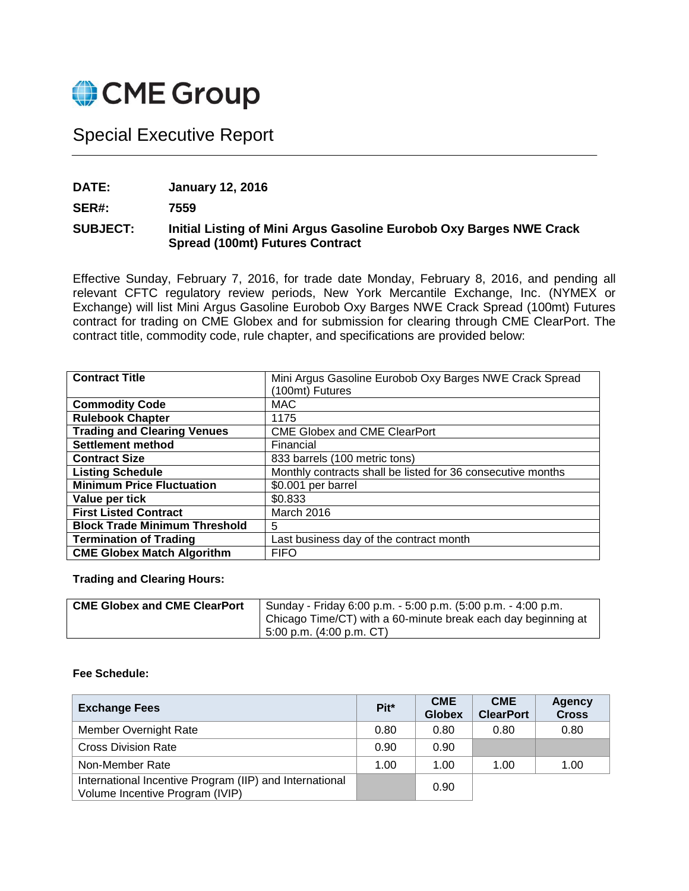

## Special Executive Report

**DATE: January 12, 2016**

**SER#: 7559**

## **SUBJECT: Initial Listing of Mini Argus Gasoline Eurobob Oxy Barges NWE Crack Spread (100mt) Futures Contract**

Effective Sunday, February 7, 2016, for trade date Monday, February 8, 2016, and pending all relevant CFTC regulatory review periods, New York Mercantile Exchange, Inc. (NYMEX or Exchange) will list Mini Argus Gasoline Eurobob Oxy Barges NWE Crack Spread (100mt) Futures contract for trading on CME Globex and for submission for clearing through CME ClearPort. The contract title, commodity code, rule chapter, and specifications are provided below:

| <b>Contract Title</b>                | Mini Argus Gasoline Eurobob Oxy Barges NWE Crack Spread     |
|--------------------------------------|-------------------------------------------------------------|
|                                      | (100mt) Futures                                             |
| <b>Commodity Code</b>                | MAC.                                                        |
| <b>Rulebook Chapter</b>              | 1175                                                        |
| <b>Trading and Clearing Venues</b>   | <b>CME Globex and CME ClearPort</b>                         |
| <b>Settlement method</b>             | Financial                                                   |
| <b>Contract Size</b>                 | 833 barrels (100 metric tons)                               |
| <b>Listing Schedule</b>              | Monthly contracts shall be listed for 36 consecutive months |
| <b>Minimum Price Fluctuation</b>     | \$0.001 per barrel                                          |
| Value per tick                       | \$0.833                                                     |
| <b>First Listed Contract</b>         | March 2016                                                  |
| <b>Block Trade Minimum Threshold</b> | 5                                                           |
| <b>Termination of Trading</b>        | Last business day of the contract month                     |
| <b>CME Globex Match Algorithm</b>    | <b>FIFO</b>                                                 |

**Trading and Clearing Hours:** 

| <b>CME Globex and CME ClearPort</b> | Sunday - Friday 6:00 p.m. - 5:00 p.m. (5:00 p.m. - 4:00 p.m.  |
|-------------------------------------|---------------------------------------------------------------|
|                                     | Chicago Time/CT) with a 60-minute break each day beginning at |
|                                     | 5:00 p.m. (4:00 p.m. CT)                                      |

## **Fee Schedule:**

| <b>Exchange Fees</b>                                                                       | Pit <sup>*</sup> | <b>CME</b><br><b>Globex</b> | <b>CME</b><br><b>ClearPort</b> | <b>Agency</b><br><b>Cross</b> |
|--------------------------------------------------------------------------------------------|------------------|-----------------------------|--------------------------------|-------------------------------|
| Member Overnight Rate                                                                      | 0.80             | 0.80                        | 0.80                           | 0.80                          |
| <b>Cross Division Rate</b>                                                                 | 0.90             | 0.90                        |                                |                               |
| Non-Member Rate                                                                            | 1.00             | 1.00                        | 1.00                           | 1.00                          |
| International Incentive Program (IIP) and International<br>Volume Incentive Program (IVIP) |                  | 0.90                        |                                |                               |